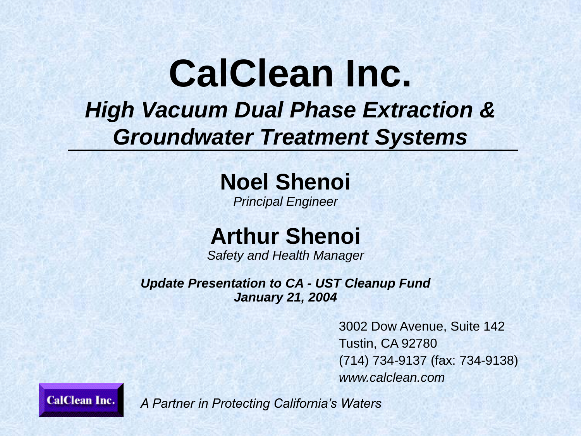### **CalClean Inc.** *High Vacuum Dual Phase Extraction & Groundwater Treatment Systems*

**Noel Shenoi**

*Principal Engineer*

**Arthur Shenoi**

*Safety and Health Manager*

*Update Presentation to CA - UST Cleanup Fund January 21, 2004*

> 3002 Dow Avenue, Suite 142 Tustin, CA 92780 (714) 734-9137 (fax: 734-9138) *www.calclean.com*

**CalClean Inc.**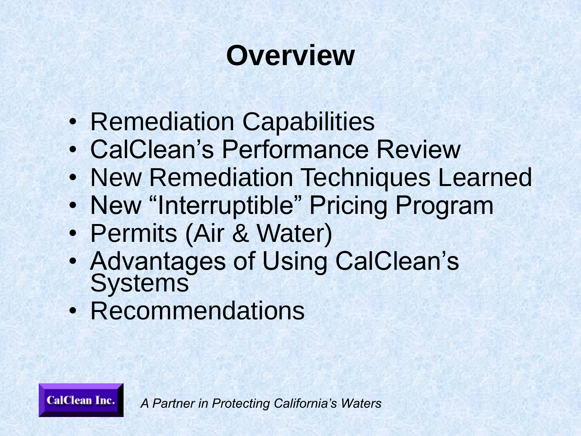# **Overview**

- Remediation Capabilities
- CalClean's Performance Review
- New Remediation Techniques Learned
- New "Interruptible" Pricing Program
- Permits (Air & Water)
- Advantages of Using CalClean's **Systems**
- Recommendations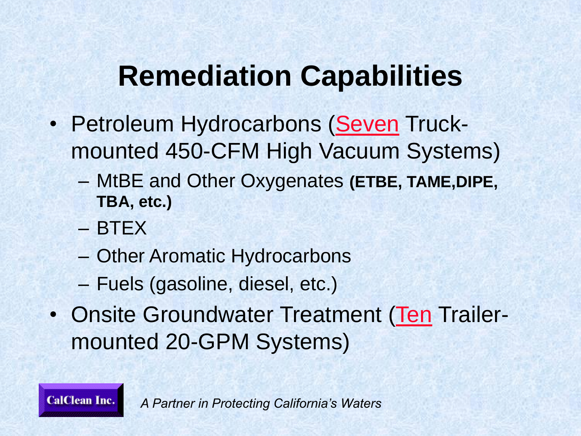## **Remediation Capabilities**

- Petroleum Hydrocarbons (Seven Truckmounted 450-CFM High Vacuum Systems)
	- MtBE and Other Oxygenates **(ETBE, TAME,DIPE, TBA, etc.)**
	- BTEX

**CalClean Inc.** 

- Other Aromatic Hydrocarbons
- Fuels (gasoline, diesel, etc.)
- Onsite Groundwater Treatment (Ten Trailermounted 20-GPM Systems)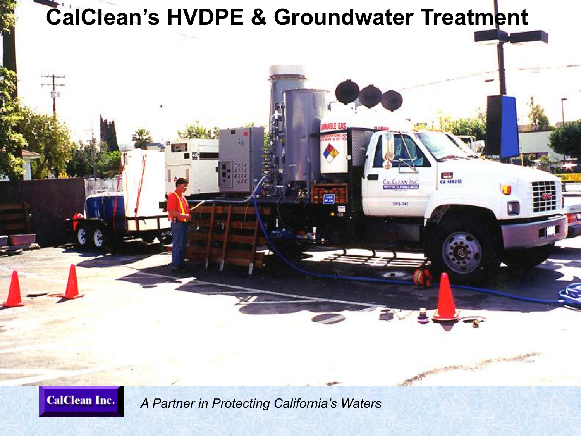

**CalClean Inc.**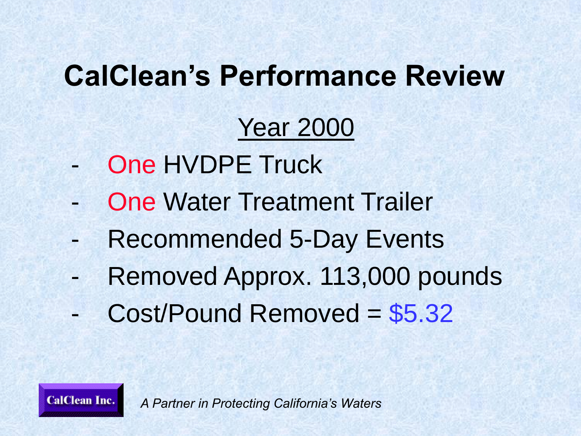### Year 2000

One HVDPE Truck

**CalClean Inc.** 

- **One Water Treatment Trailer**
- Recommended 5-Day Events
- Removed Approx. 113,000 pounds
- Cost/Pound Removed = \$5.32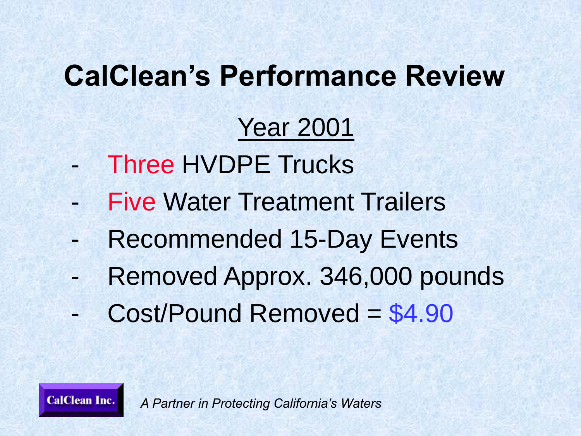### Year 2001

- Three HVDPE Trucks
- **Five Water Treatment Trailers**
- Recommended 15-Day Events
- Removed Approx. 346,000 pounds
- Cost/Pound Removed = \$4.90

*A Partner in Protecting California's Waters*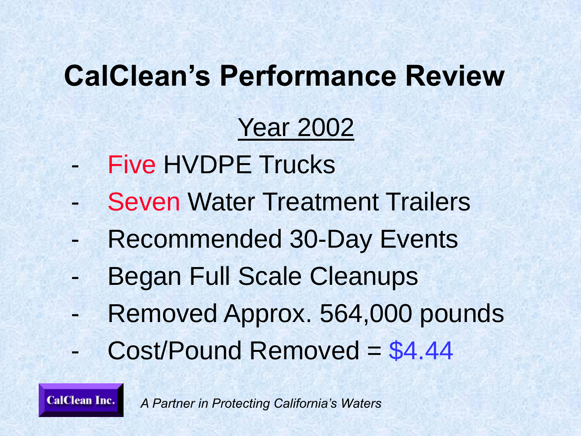### Year 2002

- Five HVDPE Trucks
- **Seven Water Treatment Trailers**
- Recommended 30-Day Events
- Began Full Scale Cleanups
- Removed Approx. 564,000 pounds
- Cost/Pound Removed = \$4.44

**CalClean Inc.** *A Partner in Protecting California's Waters*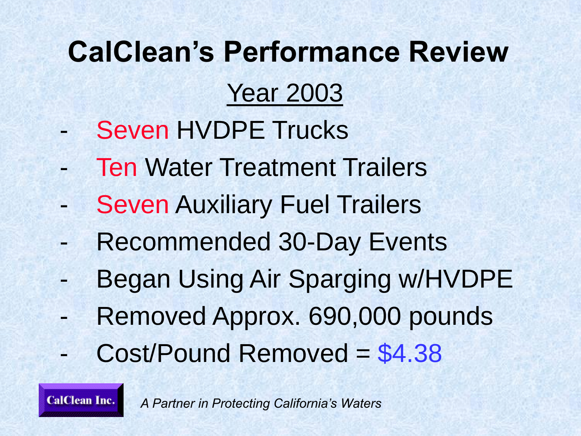- Seven HVDPE Trucks
- **Ten Water Treatment Trailers**
- **Seven Auxiliary Fuel Trailers**
- Recommended 30-Day Events
- Began Using Air Sparging w/HVDPE
- Removed Approx. 690,000 pounds
- Cost/Pound Removed = \$4.38

*A Partner in Protecting California's Waters*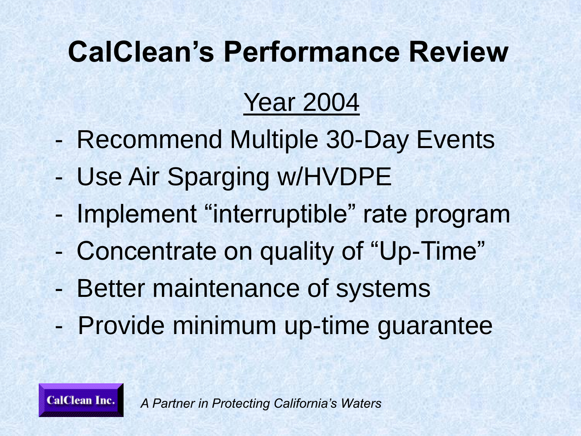### Year 2004

- Recommend Multiple 30-Day Events
- Use Air Sparging w/HVDPE
- Implement "interruptible" rate program
- Concentrate on quality of "Up-Time"
- Better maintenance of systems
- Provide minimum up-time guarantee

*A Partner in Protecting California's Waters*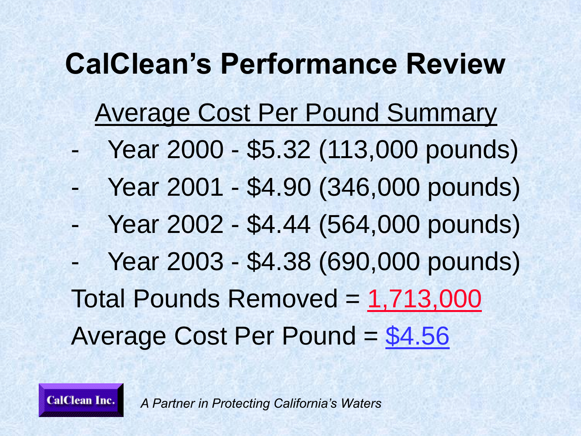### Average Cost Per Pound Summary

- Year 2000 \$5.32 (113,000 pounds)
- Year 2001 \$4.90 (346,000 pounds)
- Year 2002 \$4.44 (564,000 pounds)
- Year 2003 \$4.38 (690,000 pounds) Total Pounds Removed = 1,713,000 Average Cost Per Pound = \$4.56

*A Partner in Protecting California's Waters*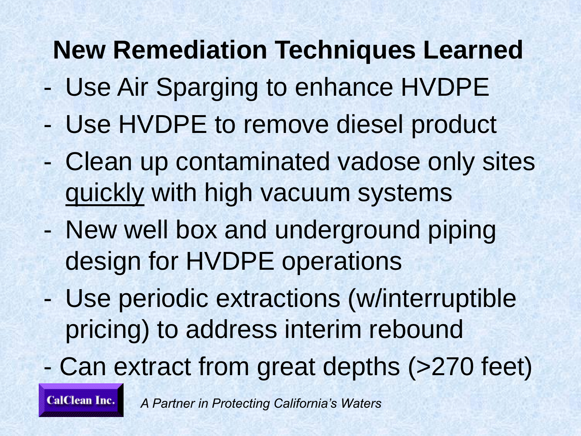### **New Remediation Techniques Learned**

- Use Air Sparging to enhance HVDPE
- Use HVDPE to remove diesel product
- Clean up contaminated vadose only sites quickly with high vacuum systems
- New well box and underground piping design for HVDPE operations
- Use periodic extractions (w/interruptible pricing) to address interim rebound
- Can extract from great depths (>270 feet)

**CalClean Inc.**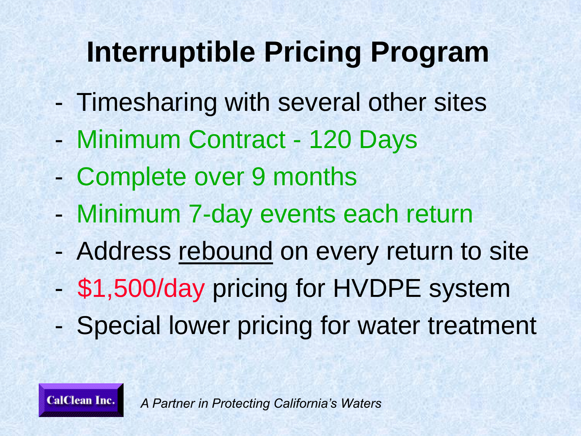# **Interruptible Pricing Program**

- Timesharing with several other sites
- Minimum Contract 120 Days
- Complete over 9 months

**CalClean Inc.** 

- Minimum 7-day events each return
- Address rebound on every return to site
- \$1,500/day pricing for HVDPE system
- Special lower pricing for water treatment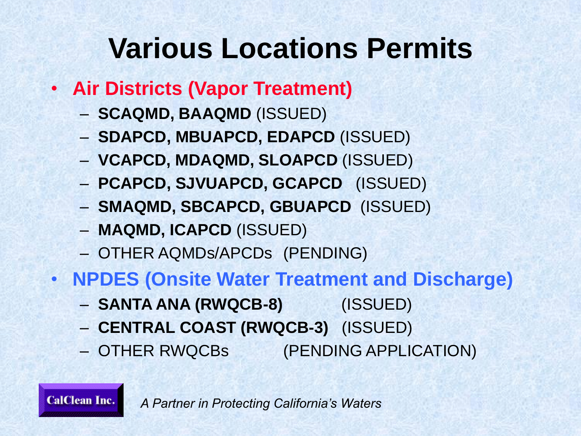## **Various Locations Permits**

- **Air Districts (Vapor Treatment)**
	- **SCAQMD, BAAQMD** (ISSUED)
	- **SDAPCD, MBUAPCD, EDAPCD** (ISSUED)
	- **VCAPCD, MDAQMD, SLOAPCD** (ISSUED)
	- **PCAPCD, SJVUAPCD, GCAPCD** (ISSUED)
	- **SMAQMD, SBCAPCD, GBUAPCD** (ISSUED)
	- **MAQMD, ICAPCD** (ISSUED)
	- OTHER AQMDs/APCDs (PENDING)
- **NPDES (Onsite Water Treatment and Discharge)**
	- **SANTA ANA (RWQCB-8)** (ISSUED)
	- **CENTRAL COAST (RWQCB-3)** (ISSUED)
	- OTHER RWQCBs (PENDING APPLICATION)

**CalClean Inc.** *A Partner in Protecting California's Waters*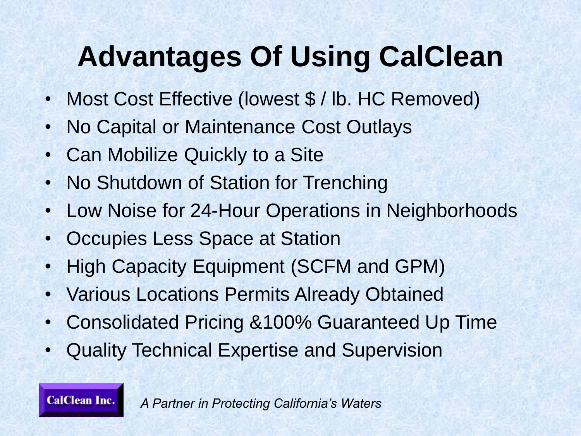# **Advantages Of Using CalClean**

- Most Cost Effective (lowest \$ / lb. HC Removed)
- No Capital or Maintenance Cost Outlays
- Can Mobilize Quickly to a Site
- No Shutdown of Station for Trenching
- Low Noise for 24-Hour Operations in Neighborhoods
- Occupies Less Space at Station
- High Capacity Equipment (SCFM and GPM)
- Various Locations Permits Already Obtained
- Consolidated Pricing &100% Guaranteed Up Time
- Quality Technical Expertise and Supervision

**CalClean Inc.**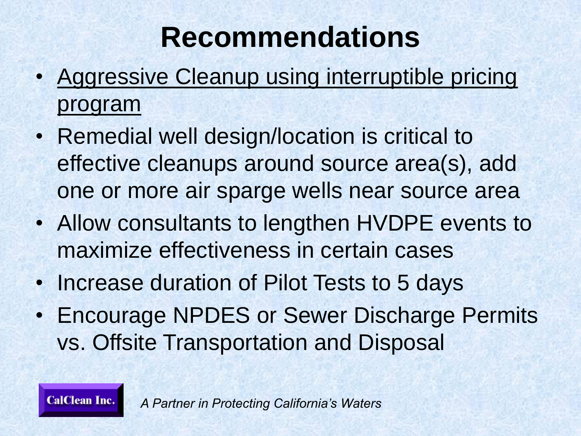# **Recommendations**

- Aggressive Cleanup using interruptible pricing program
- Remedial well design/location is critical to effective cleanups around source area(s), add one or more air sparge wells near source area
- Allow consultants to lengthen HVDPE events to maximize effectiveness in certain cases
- Increase duration of Pilot Tests to 5 days
- Encourage NPDES or Sewer Discharge Permits vs. Offsite Transportation and Disposal

*A Partner in Protecting California's Waters*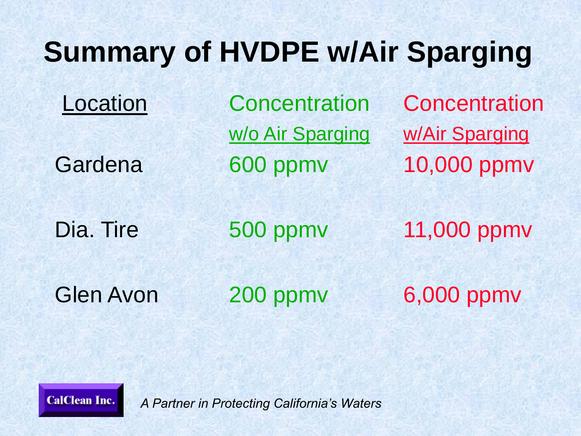# **Summary of HVDPE w/Air Sparging**

Location Concentration Concentration w/o Air Sparging w/Air Sparging Gardena 600 ppmv 10,000 ppmv

Dia. Tire 500 ppmv 11,000 ppmv

Glen Avon 200 ppmv 6,000 ppmv

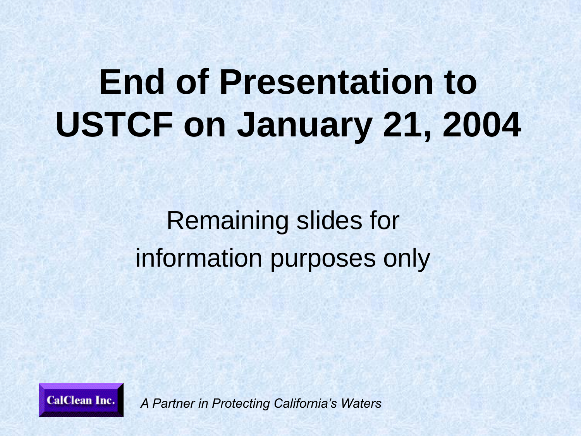# **End of Presentation to USTCF on January 21, 2004**

### Remaining slides for information purposes only

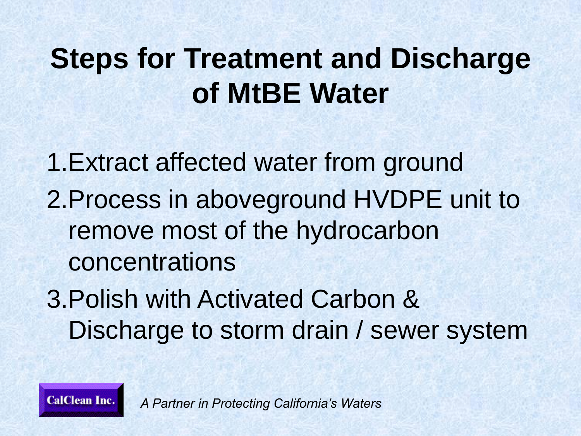# **Steps for Treatment and Discharge of MtBE Water**

1.Extract affected water from ground 2.Process in aboveground HVDPE unit to remove most of the hydrocarbon concentrations 3.Polish with Activated Carbon & Discharge to storm drain / sewer system

**CalClean Inc.**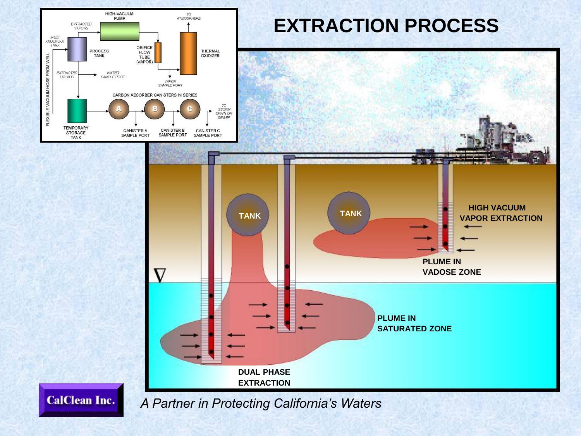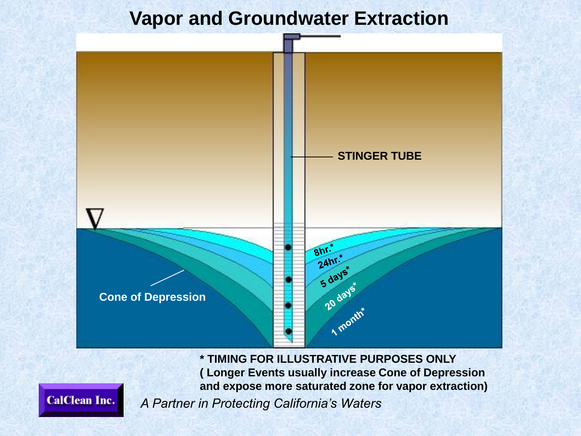### **Vapor and Groundwater Extraction**



**\* TIMING FOR ILLUSTRATIVE PURPOSES ONLY ( Longer Events usually increase Cone of Depression and expose more saturated zone for vapor extraction)**

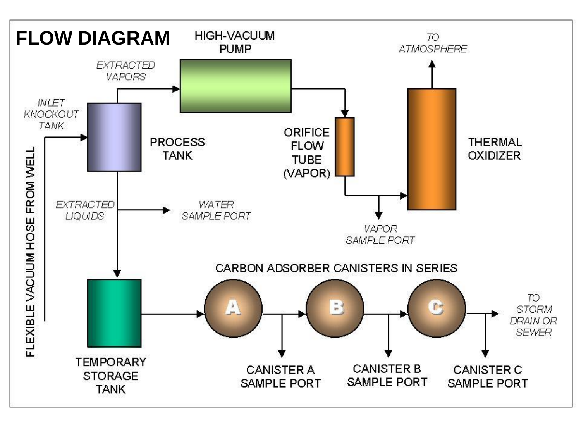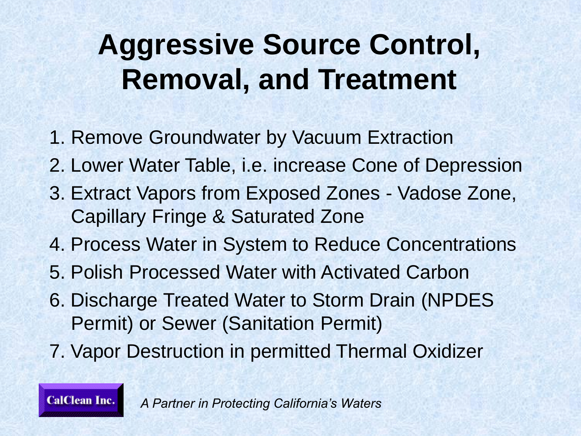# **Aggressive Source Control, Removal, and Treatment**

- 1. Remove Groundwater by Vacuum Extraction
- 2. Lower Water Table, i.e. increase Cone of Depression
- 3. Extract Vapors from Exposed Zones Vadose Zone, Capillary Fringe & Saturated Zone
- 4. Process Water in System to Reduce Concentrations
- 5. Polish Processed Water with Activated Carbon
- 6. Discharge Treated Water to Storm Drain (NPDES Permit) or Sewer (Sanitation Permit)
- 7. Vapor Destruction in permitted Thermal Oxidizer

**CalClean Inc.**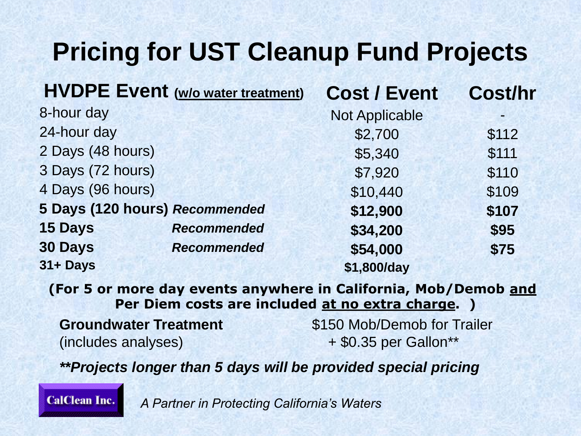### **Pricing for UST Cleanup Fund Projects**

| <b>HVDPE Event (w/o water treatment)</b> |                    | <b>Cost / Event</b>   | <b>Cost/hr</b> |  |
|------------------------------------------|--------------------|-----------------------|----------------|--|
| 8-hour day                               |                    | <b>Not Applicable</b> |                |  |
| 24-hour day                              |                    | \$2,700               | \$112          |  |
| 2 Days (48 hours)                        |                    | \$5,340               | \$111          |  |
| 3 Days (72 hours)                        |                    | \$7,920               | \$110          |  |
| 4 Days (96 hours)                        |                    | \$10,440              | \$109          |  |
| 5 Days (120 hours) Recommended           |                    | \$12,900              | \$107          |  |
| <b>15 Days</b>                           | <b>Recommended</b> | \$34,200              | \$95           |  |
| <b>30 Days</b>                           | <b>Recommended</b> | \$54,000              | \$75           |  |
| 31+ Days                                 |                    | \$1,800/day           |                |  |

**(For 5 or more day events anywhere in California, Mob/Demob and Per Diem costs are included at no extra charge. )**

 $(includes\ analyses)$   $+ $0.35 \text{ per Gallon}^{**}$ 

**Groundwater Treatment 1996 S150 Mob/Demob for Trailer** 

*\*\*Projects longer than 5 days will be provided special pricing*

**CalClean Inc.**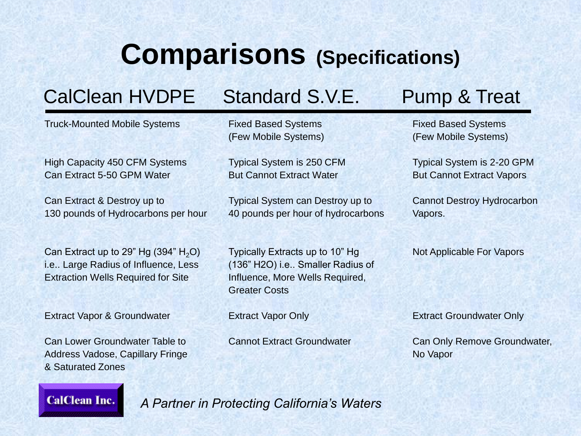### **Comparisons (Specifications)**

### CalClean HVDPE Standard S.V.E. Pump & Treat

Truck-Mounted Mobile Systems

High Capacity 450 CFM Systems Can Extract 5-50 GPM Water

Can Extract & Destroy up to 130 pounds of Hydrocarbons per hour

Can Extract up to 29" Hg  $(394" H<sub>2</sub>O)$ i.e.. Large Radius of Influence, Less Extraction Wells Required for Site

Extract Vapor & Groundwater

Can Lower Groundwater Table to Address Vadose, Capillary Fringe & Saturated Zones

Fixed Based Systems (Few Mobile Systems)

Typical System is 250 CFM But Cannot Extract Water

Typical System can Destroy up to 40 pounds per hour of hydrocarbons

Typically Extracts up to 10" Hg (136" H2O) i.e.. Smaller Radius of Influence, More Wells Required, Greater Costs

Extract Vapor Only

Cannot Extract Groundwater

Fixed Based Systems (Few Mobile Systems)

Typical System is 2-20 GPM But Cannot Extract Vapors

Cannot Destroy Hydrocarbon Vapors.

Not Applicable For Vapors

Extract Groundwater Only

Can Only Remove Groundwater, No Vapor

**CalClean Inc.**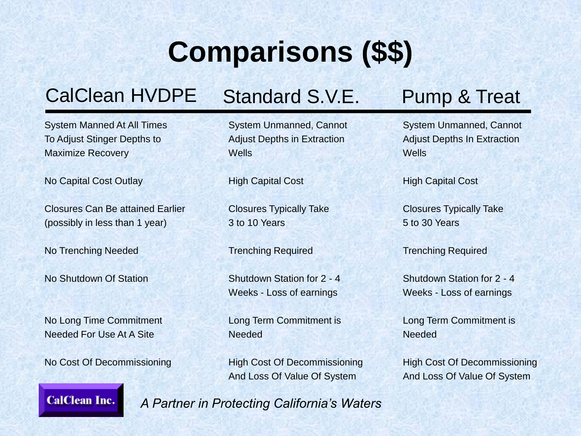# **Comparisons (\$\$)**

### CalClean HVDPE Standard S.V.E. Pump & Treat

System Manned At All Times To Adjust Stinger Depths to Maximize Recovery

No Capital Cost Outlay

Closures Can Be attained Earlier (possibly in less than 1 year)

No Trenching Needed

No Shutdown Of Station

No Long Time Commitment Needed For Use At A Site

No Cost Of Decommissioning

System Unmanned, Cannot Adjust Depths in Extraction **Wells** 

High Capital Cost

Closures Typically Take 3 to 10 Years

Trenching Required

Shutdown Station for 2 - 4 Weeks - Loss of earnings

Long Term Commitment is **Needed** 

High Cost Of Decommissioning And Loss Of Value Of System

System Unmanned, Cannot Adjust Depths In Extraction **Wells** 

High Capital Cost

Closures Typically Take 5 to 30 Years

Trenching Required

Shutdown Station for 2 - 4 Weeks - Loss of earnings

Long Term Commitment is **Needed** 

High Cost Of Decommissioning And Loss Of Value Of System

**CalClean Inc.**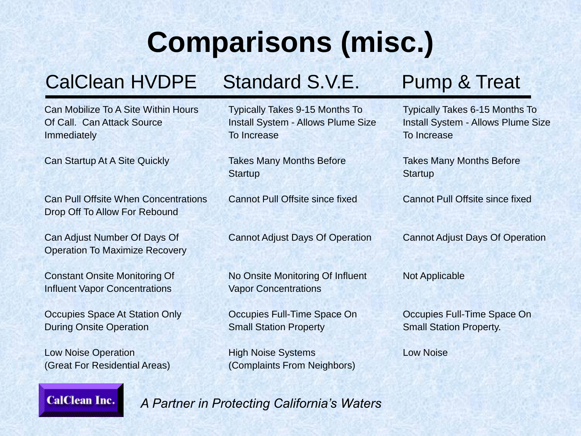# **Comparisons (misc.)**

### CalClean HVDPE Standard S.V.E. Pump & Treat

Can Mobilize To A Site Within Hours Of Call. Can Attack Source **Immediately** 

Can Startup At A Site Quickly

Can Pull Offsite When Concentrations Drop Off To Allow For Rebound

Can Adjust Number Of Days Of Operation To Maximize Recovery

Constant Onsite Monitoring Of Influent Vapor Concentrations

Occupies Space At Station Only During Onsite Operation

Low Noise Operation (Great For Residential Areas) Typically Takes 9-15 Months To Install System - Allows Plume Size To Increase

Takes Many Months Before **Startup** 

Cannot Pull Offsite since fixed

Cannot Adjust Days Of Operation

No Onsite Monitoring Of Influent Vapor Concentrations

Occupies Full-Time Space On Small Station Property

High Noise Systems (Complaints From Neighbors)

Typically Takes 6-15 Months To Install System - Allows Plume Size To Increase

Takes Many Months Before **Startup** 

Cannot Pull Offsite since fixed

Cannot Adjust Days Of Operation

Not Applicable

Occupies Full-Time Space On Small Station Property.

Low Noise

#### **CalClean Inc.**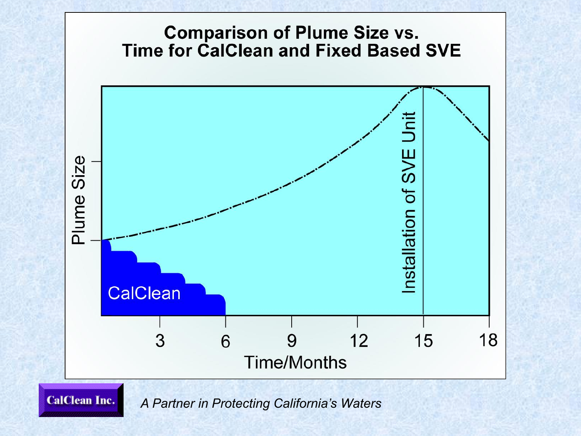

*A Partner in Protecting California's Waters*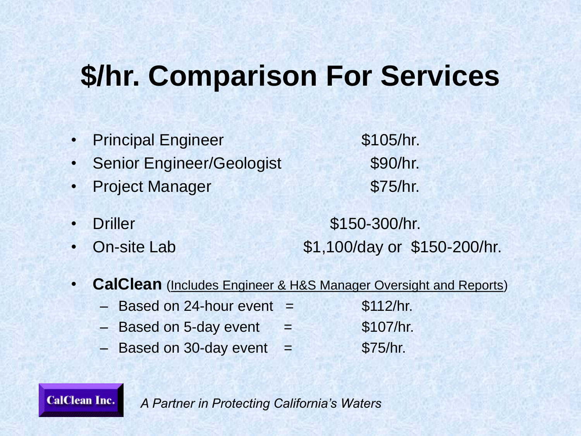## **\$/hr. Comparison For Services**

- Principal Engineer \$105/hr. Senior Engineer/Geologist \$90/hr. • Project Manager **\$75/hr.** • Driller \$150-300/hr. • On-site Lab \$1,100/day or \$150-200/hr.
- **CalClean** (Includes Engineer & H&S Manager Oversight and Reports)
	- $-$  Based on 24-hour event  $=$  \$112/hr.

**CalClean Inc.** 

- $-$  Based on 5-day event  $=$  \$107/hr.
- $-$  Based on 30-day event  $=$  \$75/hr.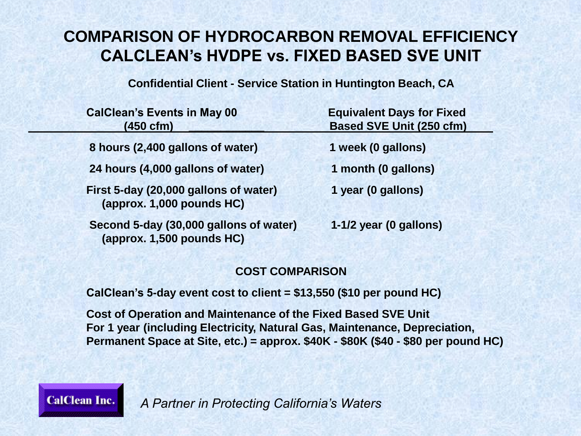### **COMPARISON OF HYDROCARBON REMOVAL EFFICIENCY CALCLEAN's HVDPE vs. FIXED BASED SVE UNIT**

**Confidential Client - Service Station in Huntington Beach, CA**

| <b>CalClean's Events in May 00</b><br>$(450 \text{ cfm})$           | <b>Equivalent Days for Fixed</b><br><b>Based SVE Unit (250 cfm)</b> |
|---------------------------------------------------------------------|---------------------------------------------------------------------|
| 8 hours (2,400 gallons of water)                                    | 1 week (0 gallons)                                                  |
| 24 hours (4,000 gallons of water)                                   | 1 month (0 gallons)                                                 |
| First 5-day (20,000 gallons of water)<br>(approx. 1,000 pounds HC)  | 1 year (0 gallons)                                                  |
| Second 5-day (30,000 gallons of water)<br>(approx. 1,500 pounds HC) | 1-1/2 year (0 gallons)                                              |

#### **COST COMPARISON**

**CalClean's 5-day event cost to client = \$13,550 (\$10 per pound HC)**

**Cost of Operation and Maintenance of the Fixed Based SVE Unit For 1 year (including Electricity, Natural Gas, Maintenance, Depreciation, Permanent Space at Site, etc.) = approx. \$40K - \$80K (\$40 - \$80 per pound HC)**

*A Partner in Protecting California's Waters*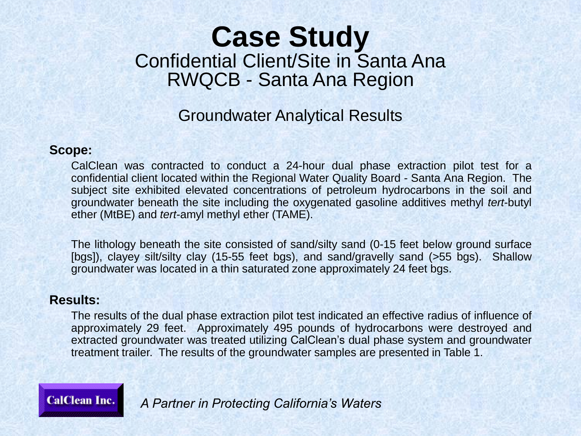### **Case Study** Confidential Client/Site in Santa Ana RWQCB - Santa Ana Region

### Groundwater Analytical Results

#### **Scope:**

CalClean was contracted to conduct a 24-hour dual phase extraction pilot test for a confidential client located within the Regional Water Quality Board - Santa Ana Region. The subject site exhibited elevated concentrations of petroleum hydrocarbons in the soil and groundwater beneath the site including the oxygenated gasoline additives methyl *tert*-butyl ether (MtBE) and *tert*-amyl methyl ether (TAME).

The lithology beneath the site consisted of sand/silty sand (0-15 feet below ground surface [bgs]), clayey silt/silty clay (15-55 feet bgs), and sand/gravelly sand (>55 bgs). Shallow groundwater was located in a thin saturated zone approximately 24 feet bgs.

### **Results:**

The results of the dual phase extraction pilot test indicated an effective radius of influence of approximately 29 feet. Approximately 495 pounds of hydrocarbons were destroyed and extracted groundwater was treated utilizing CalClean's dual phase system and groundwater treatment trailer. The results of the groundwater samples are presented in Table 1.

**CalClean Inc.**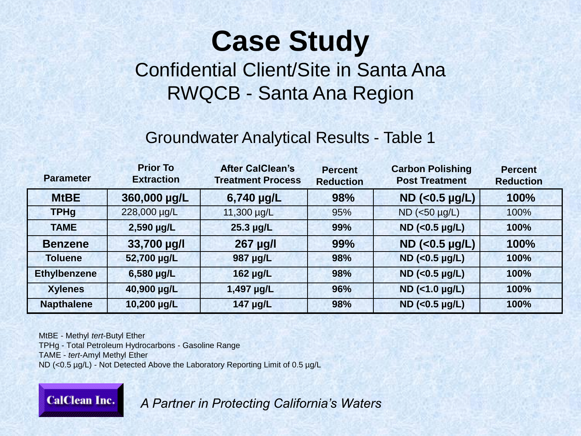# **Case Study**

Confidential Client/Site in Santa Ana RWQCB - Santa Ana Region

### Groundwater Analytical Results - Table 1

| <b>Parameter</b>    | <b>Prior To</b><br><b>Extraction</b> | <b>After CalClean's</b><br><b>Treatment Process</b> | <b>Percent</b><br><b>Reduction</b> | <b>Carbon Polishing</b><br><b>Post Treatment</b> | <b>Percent</b><br><b>Reduction</b> |
|---------------------|--------------------------------------|-----------------------------------------------------|------------------------------------|--------------------------------------------------|------------------------------------|
| <b>MtBE</b>         | 360,000 µg/L                         | $6,740 \mu g/L$                                     | 98%                                | $ND$ (<0.5 $\mu g/L$ )                           | 100%                               |
| <b>TPHg</b>         | 228,000 µg/L                         | 11,300 µg/L                                         | 95%                                | $ND$ (<50 $\mu$ g/L)                             | 100%                               |
| <b>TAME</b>         | 2,590 µg/L                           | $25.3 \mu g/L$                                      | 99%                                | $ND$ (<0.5 µg/L)                                 | 100%                               |
| <b>Benzene</b>      | 33,700 µg/l                          | 267 µg/l                                            | 99%                                | $ND$ (<0.5 $\mu g/L$ )                           | 100%                               |
| <b>Toluene</b>      | 52,700 µg/L                          | 987 µg/L                                            | 98%                                | $ND$ (<0.5 $\mu g/L$ )                           | 100%                               |
| <b>Ethylbenzene</b> | 6,580 µg/L                           | 162 µg/L                                            | 98%                                | $ND$ (<0.5 µg/L)                                 | 100%                               |
| <b>Xylenes</b>      | 40,900 µg/L                          | 1,497 µg/L                                          | 96%                                | $ND$ (<1.0 $\mu g/L$ )                           | 100%                               |
| <b>Napthalene</b>   | 10,200 µg/L                          | $147 \mu g/L$                                       | 98%                                | $ND$ (<0.5 µg/L)                                 | 100%                               |

MtBE - Methyl *tert*-Butyl Ether TPHg - Total Petroleum Hydrocarbons - Gasoline Range TAME - *tert*-Amyl Methyl Ether ND (<0.5 µg/L) - Not Detected Above the Laboratory Reporting Limit of 0.5 µg/L

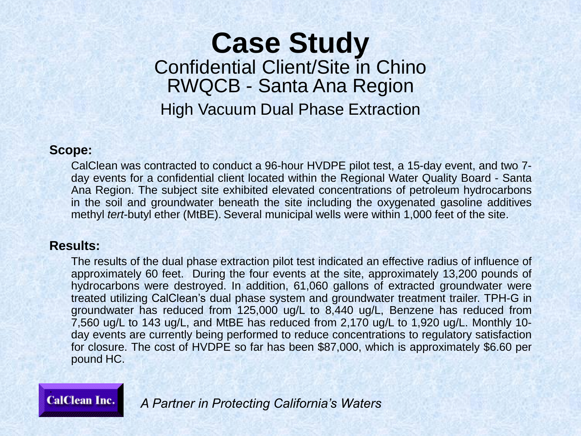### **Case Study** Confidential Client/Site in Chino RWQCB - Santa Ana Region High Vacuum Dual Phase Extraction

#### **Scope:**

CalClean was contracted to conduct a 96-hour HVDPE pilot test, a 15-day event, and two 7 day events for a confidential client located within the Regional Water Quality Board - Santa Ana Region. The subject site exhibited elevated concentrations of petroleum hydrocarbons in the soil and groundwater beneath the site including the oxygenated gasoline additives methyl *tert*-butyl ether (MtBE). Several municipal wells were within 1,000 feet of the site.

### **Results:**

The results of the dual phase extraction pilot test indicated an effective radius of influence of approximately 60 feet. During the four events at the site, approximately 13,200 pounds of hydrocarbons were destroyed. In addition, 61,060 gallons of extracted groundwater were treated utilizing CalClean's dual phase system and groundwater treatment trailer. TPH-G in groundwater has reduced from 125,000 ug/L to 8,440 ug/L, Benzene has reduced from 7,560 ug/L to 143 ug/L, and MtBE has reduced from 2,170 ug/L to 1,920 ug/L. Monthly 10 day events are currently being performed to reduce concentrations to regulatory satisfaction for closure. The cost of HVDPE so far has been \$87,000, which is approximately \$6.60 per pound HC.

**CalClean Inc.**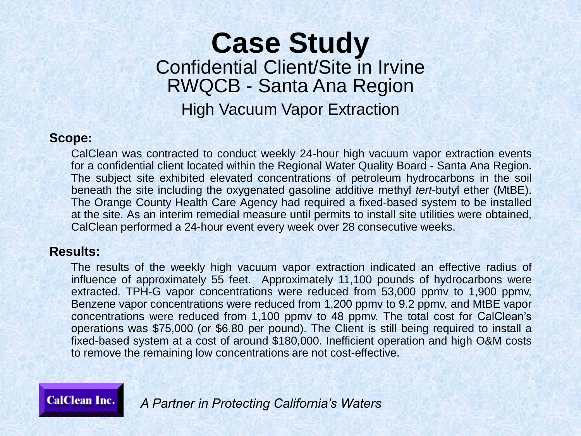### **Case Study** Confidential Client/Site in Irvine RWQCB - Santa Ana Region High Vacuum Vapor Extraction

#### **Scope:**

CalClean was contracted to conduct weekly 24-hour high vacuum vapor extraction events for a confidential client located within the Regional Water Quality Board - Santa Ana Region. The subject site exhibited elevated concentrations of petroleum hydrocarbons in the soil beneath the site including the oxygenated gasoline additive methyl *tert*-butyl ether (MtBE). The Orange County Health Care Agency had required a fixed-based system to be installed at the site. As an interim remedial measure until permits to install site utilities were obtained, CalClean performed a 24-hour event every week over 28 consecutive weeks.

#### **Results:**

The results of the weekly high vacuum vapor extraction indicated an effective radius of influence of approximately 55 feet. Approximately 11,100 pounds of hydrocarbons were extracted. TPH-G vapor concentrations were reduced from 53,000 ppmv to 1,900 ppmv, Benzene vapor concentrations were reduced from 1,200 ppmv to 9.2 ppmv, and MtBE vapor concentrations were reduced from 1,100 ppmv to 48 ppmv. The total cost for CalClean's operations was \$75,000 (or \$6.80 per pound). The Client is still being required to install a fixed-based system at a cost of around \$180,000. Inefficient operation and high O&M costs to remove the remaining low concentrations are not cost-effective.

**CalClean Inc.**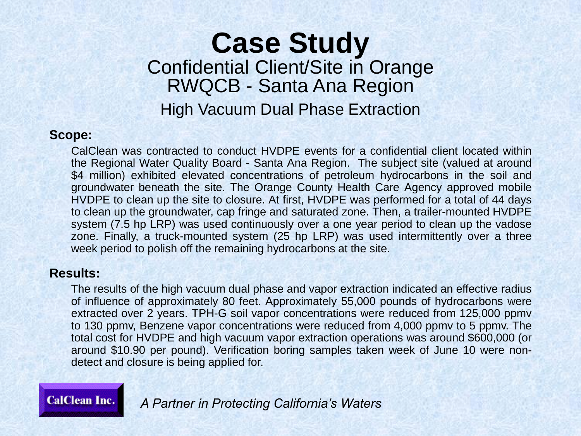### **Case Study** Confidential Client/Site in Orange RWQCB - Santa Ana Region High Vacuum Dual Phase Extraction

#### **Scope:**

CalClean was contracted to conduct HVDPE events for a confidential client located within the Regional Water Quality Board - Santa Ana Region. The subject site (valued at around \$4 million) exhibited elevated concentrations of petroleum hydrocarbons in the soil and groundwater beneath the site. The Orange County Health Care Agency approved mobile HVDPE to clean up the site to closure. At first, HVDPE was performed for a total of 44 days to clean up the groundwater, cap fringe and saturated zone. Then, a trailer-mounted HVDPE system (7.5 hp LRP) was used continuously over a one year period to clean up the vadose zone. Finally, a truck-mounted system (25 hp LRP) was used intermittently over a three week period to polish off the remaining hydrocarbons at the site.

#### **Results:**

The results of the high vacuum dual phase and vapor extraction indicated an effective radius of influence of approximately 80 feet. Approximately 55,000 pounds of hydrocarbons were extracted over 2 years. TPH-G soil vapor concentrations were reduced from 125,000 ppmv to 130 ppmv, Benzene vapor concentrations were reduced from 4,000 ppmv to 5 ppmv. The total cost for HVDPE and high vacuum vapor extraction operations was around \$600,000 (or around \$10.90 per pound). Verification boring samples taken week of June 10 were nondetect and closure is being applied for.

### **CalClean Inc.**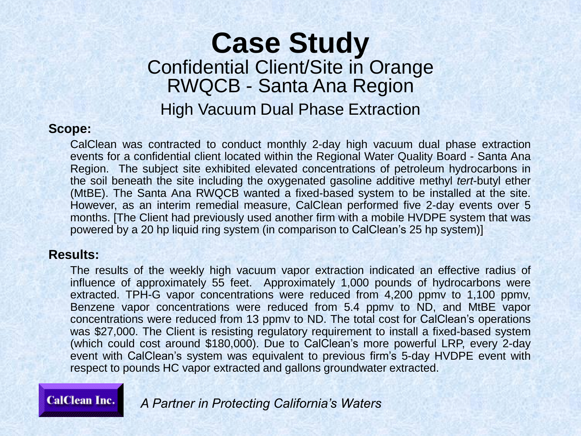### **Case Study** Confidential Client/Site in Orange RWQCB - Santa Ana Region High Vacuum Dual Phase Extraction

#### **Scope:**

CalClean was contracted to conduct monthly 2-day high vacuum dual phase extraction events for a confidential client located within the Regional Water Quality Board - Santa Ana Region. The subject site exhibited elevated concentrations of petroleum hydrocarbons in the soil beneath the site including the oxygenated gasoline additive methyl *tert*-butyl ether (MtBE). The Santa Ana RWQCB wanted a fixed-based system to be installed at the site. However, as an interim remedial measure, CalClean performed five 2-day events over 5 months. [The Client had previously used another firm with a mobile HVDPE system that was powered by a 20 hp liquid ring system (in comparison to CalClean's 25 hp system)]

#### **Results:**

The results of the weekly high vacuum vapor extraction indicated an effective radius of influence of approximately 55 feet. Approximately 1,000 pounds of hydrocarbons were extracted. TPH-G vapor concentrations were reduced from 4,200 ppmv to 1,100 ppmv, Benzene vapor concentrations were reduced from 5.4 ppmv to ND, and MtBE vapor concentrations were reduced from 13 ppmv to ND. The total cost for CalClean's operations was \$27,000. The Client is resisting regulatory requirement to install a fixed-based system (which could cost around \$180,000). Due to CalClean's more powerful LRP, every 2-day event with CalClean's system was equivalent to previous firm's 5-day HVDPE event with respect to pounds HC vapor extracted and gallons groundwater extracted.

### **CalClean Inc.**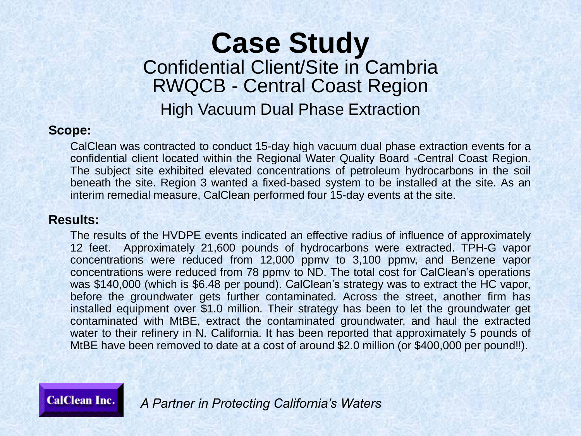### **Case Study** Confidential Client/Site in Cambria RWQCB - Central Coast Region High Vacuum Dual Phase Extraction

#### **Scope:**

CalClean was contracted to conduct 15-day high vacuum dual phase extraction events for a confidential client located within the Regional Water Quality Board -Central Coast Region. The subject site exhibited elevated concentrations of petroleum hydrocarbons in the soil beneath the site. Region 3 wanted a fixed-based system to be installed at the site. As an interim remedial measure, CalClean performed four 15-day events at the site.

#### **Results:**

The results of the HVDPE events indicated an effective radius of influence of approximately 12 feet. Approximately 21,600 pounds of hydrocarbons were extracted. TPH-G vapor concentrations were reduced from 12,000 ppmv to 3,100 ppmv, and Benzene vapor concentrations were reduced from 78 ppmv to ND. The total cost for CalClean's operations was \$140,000 (which is \$6.48 per pound). CalClean's strategy was to extract the HC vapor, before the groundwater gets further contaminated. Across the street, another firm has installed equipment over \$1.0 million. Their strategy has been to let the groundwater get contaminated with MtBE, extract the contaminated groundwater, and haul the extracted water to their refinery in N. California. It has been reported that approximately 5 pounds of MtBE have been removed to date at a cost of around \$2.0 million (or \$400,000 per pound!!).

**CalClean Inc.**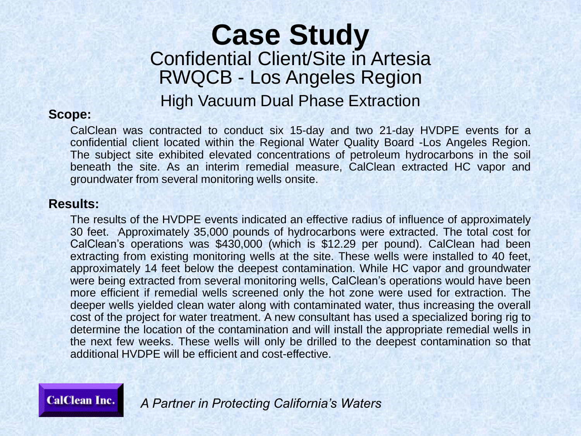### **Case Study** Confidential Client/Site in Artesia RWQCB - Los Angeles Region High Vacuum Dual Phase Extraction

### **Scope:**

CalClean was contracted to conduct six 15-day and two 21-day HVDPE events for a confidential client located within the Regional Water Quality Board -Los Angeles Region. The subject site exhibited elevated concentrations of petroleum hydrocarbons in the soil beneath the site. As an interim remedial measure, CalClean extracted HC vapor and groundwater from several monitoring wells onsite.

### **Results:**

The results of the HVDPE events indicated an effective radius of influence of approximately 30 feet. Approximately 35,000 pounds of hydrocarbons were extracted. The total cost for CalClean's operations was \$430,000 (which is \$12.29 per pound). CalClean had been extracting from existing monitoring wells at the site. These wells were installed to 40 feet, approximately 14 feet below the deepest contamination. While HC vapor and groundwater were being extracted from several monitoring wells, CalClean's operations would have been more efficient if remedial wells screened only the hot zone were used for extraction. The deeper wells yielded clean water along with contaminated water, thus increasing the overall cost of the project for water treatment. A new consultant has used a specialized boring rig to determine the location of the contamination and will install the appropriate remedial wells in the next few weeks. These wells will only be drilled to the deepest contamination so that additional HVDPE will be efficient and cost-effective.

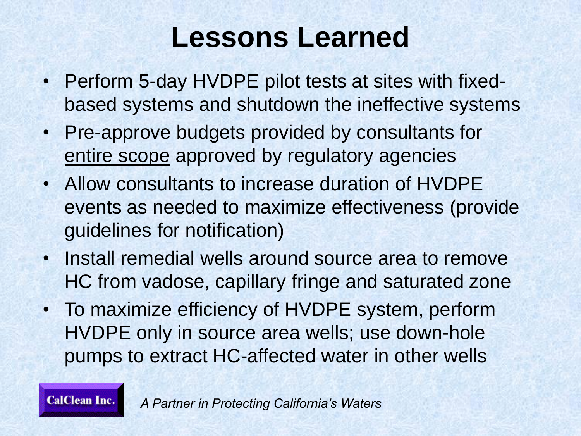### **Lessons Learned**

- Perform 5-day HVDPE pilot tests at sites with fixedbased systems and shutdown the ineffective systems
- Pre-approve budgets provided by consultants for entire scope approved by regulatory agencies
- Allow consultants to increase duration of HVDPE events as needed to maximize effectiveness (provide guidelines for notification)
- Install remedial wells around source area to remove HC from vadose, capillary fringe and saturated zone
- To maximize efficiency of HVDPE system, perform HVDPE only in source area wells; use down-hole pumps to extract HC-affected water in other wells